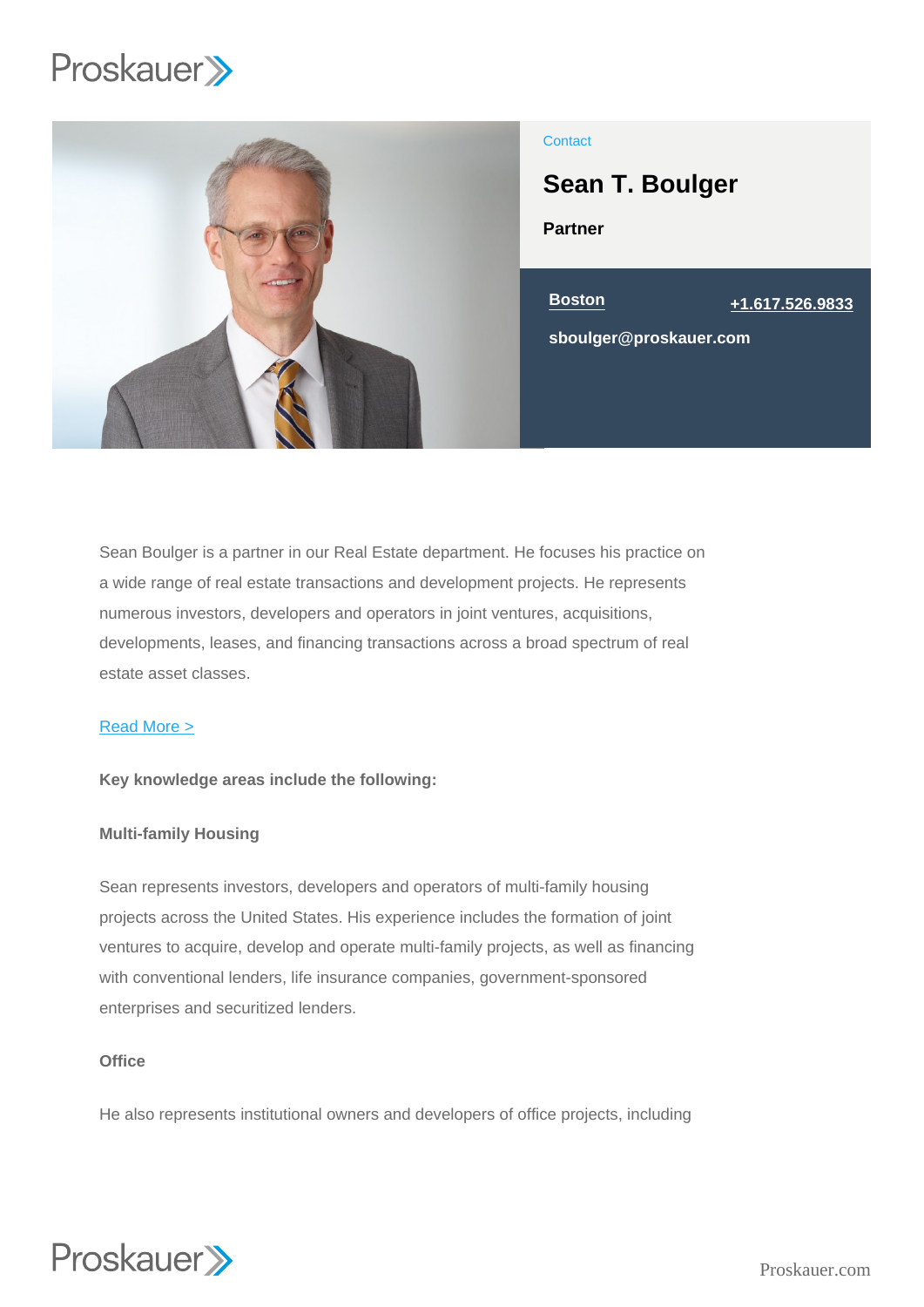

# **Contact**

Sean T. Boulger

Partner



Sean Boulger is a partner in our Real Estate department. He focuses his practice on a wide range of real estate transactions and development projects. He represents numerous investors, developers and operators in joint ventures, acquisitions, developments, leases, and financing transactions across a broad spectrum of real estate asset classes.

#### Read More >

Key knowledge areas include the following:

#### Multi-family Housing

Sean represents investors, developers and operators of multi-family housing projects across the United States. His experience includes the formation of joint ventures to acquire, develop and operate multi-family projects, as well as financing with conventional lenders, life insurance companies, government-sponsored enterprises and securitized lenders.

# **Office**

He also represents institutional owners and developers of office projects, including

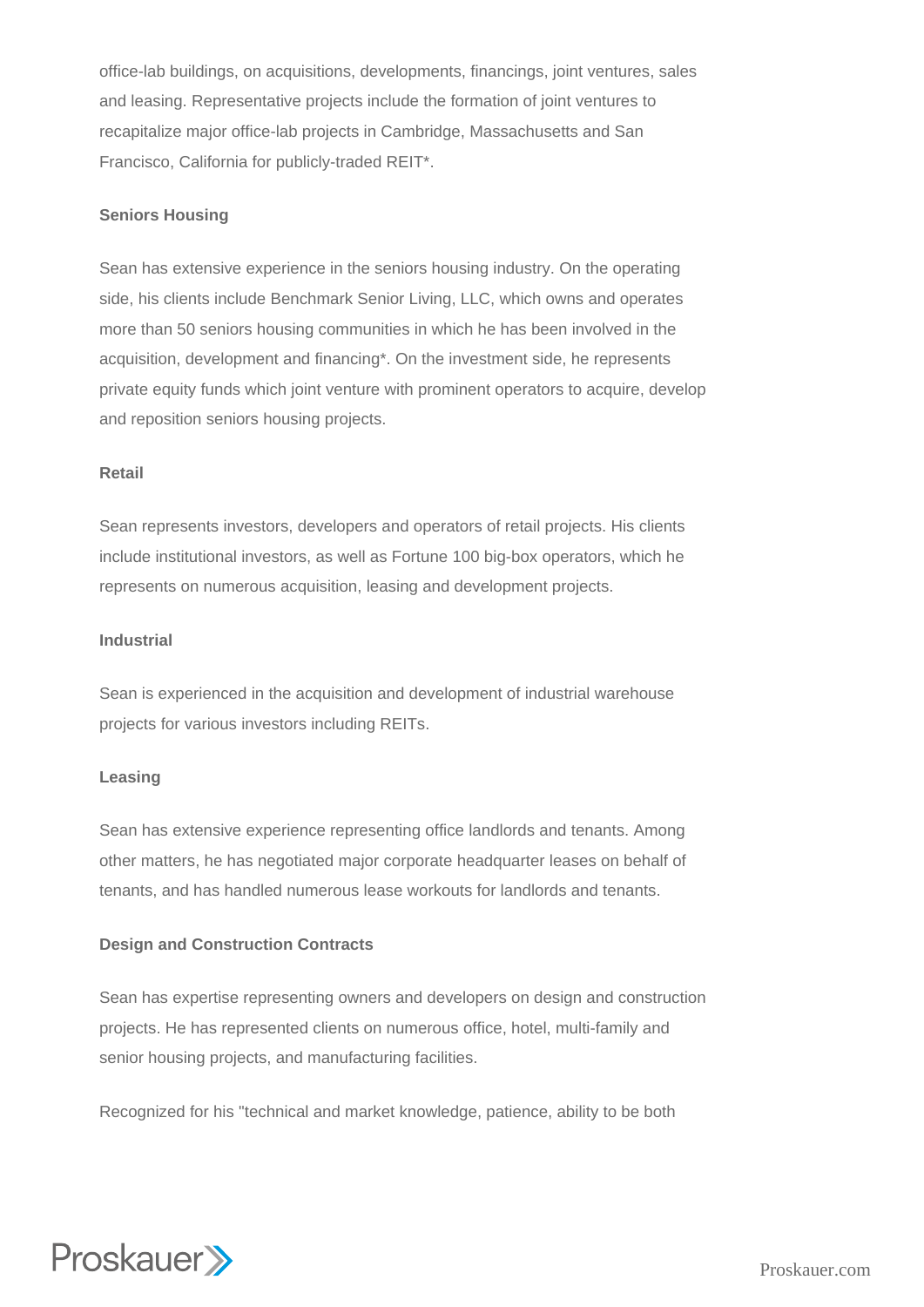office-lab buildings, on acquisitions, developments, financings, joint ventures, sales and leasing. Representative projects include the formation of joint ventures to recapitalize major office-lab projects in Cambridge, Massachusetts and San Francisco, California for publicly-traded REIT\*.

## **Seniors Housing**

Sean has extensive experience in the seniors housing industry. On the operating side, his clients include Benchmark Senior Living, LLC, which owns and operates more than 50 seniors housing communities in which he has been involved in the acquisition, development and financing\*. On the investment side, he represents private equity funds which joint venture with prominent operators to acquire, develop and reposition seniors housing projects.

#### **Retail**

Sean represents investors, developers and operators of retail projects. His clients include institutional investors, as well as Fortune 100 big-box operators, which he represents on numerous acquisition, leasing and development projects.

#### **Industrial**

Sean is experienced in the acquisition and development of industrial warehouse projects for various investors including REITs.

#### **Leasing**

Sean has extensive experience representing office landlords and tenants. Among other matters, he has negotiated major corporate headquarter leases on behalf of tenants, and has handled numerous lease workouts for landlords and tenants.

## **Design and Construction Contracts**

Sean has expertise representing owners and developers on design and construction projects. He has represented clients on numerous office, hotel, multi-family and senior housing projects, and manufacturing facilities.

Recognized for his "technical and market knowledge, patience, ability to be both

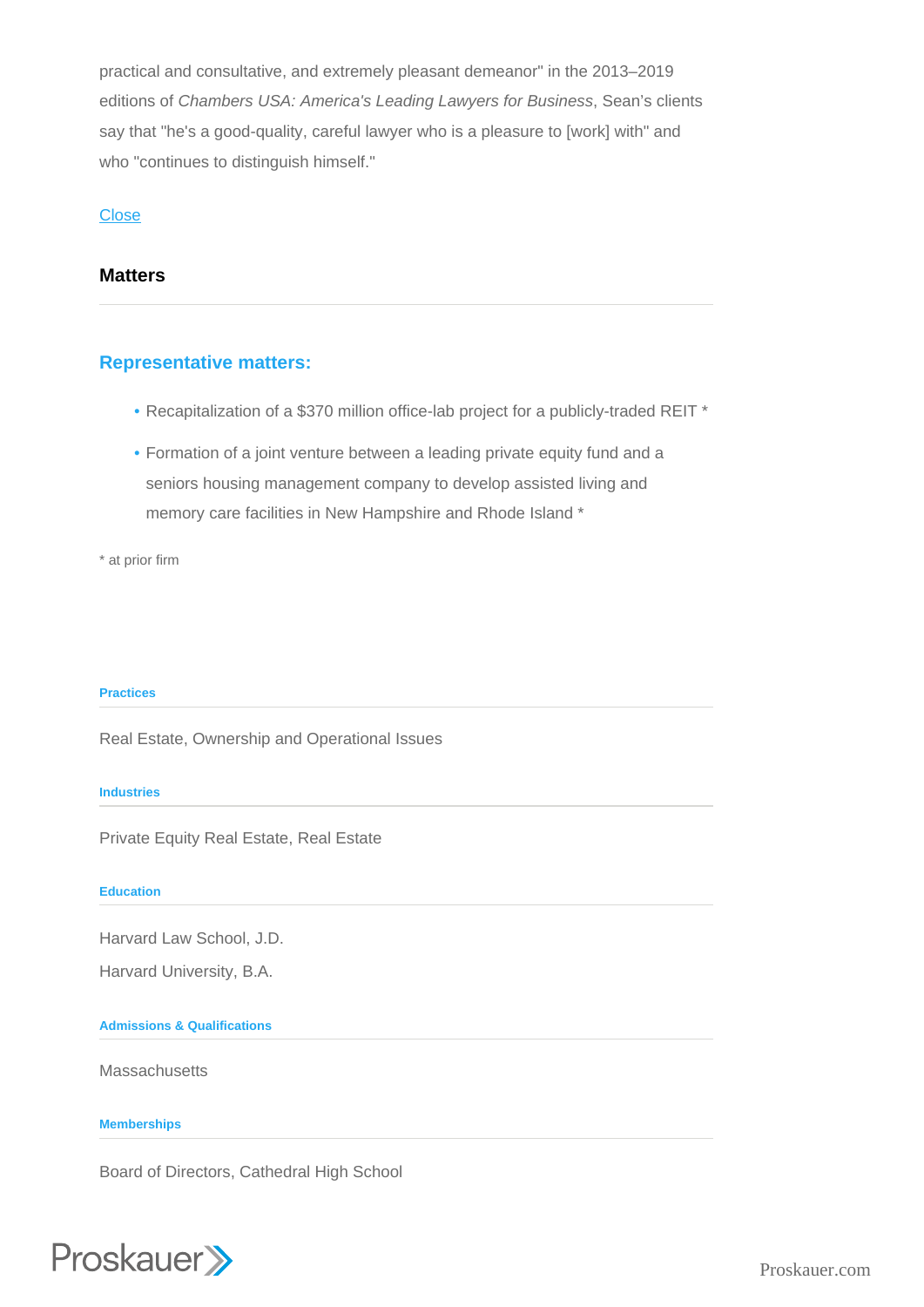practical and consultative, and extremely pleasant demeanor" in the 2013–2019 editions of Chambers USA: America's Leading Lawyers for Business, Sean's clients say that "he's a good-quality, careful lawyer who is a pleasure to [work] with" and who "continues to distinguish himself."

## **Close**

## **Matters**

# Representative matters:

- Recapitalization of a \$370 million office-lab project for a publicly-traded REIT \*
- Formation of a joint venture between a leading private equity fund and a seniors housing management company to develop assisted living and memory care facilities in New Hampshire and Rhode Island \*

\* at prior firm

#### Practices

Real Estate, Ownership and Operational Issues

**Industries** 

Private Equity Real Estate, Real Estate

Education

Harvard Law School, J.D.

Harvard University, B.A.

Admissions & Qualifications

**Massachusetts** 

**Memberships** 

Board of Directors, Cathedral High School